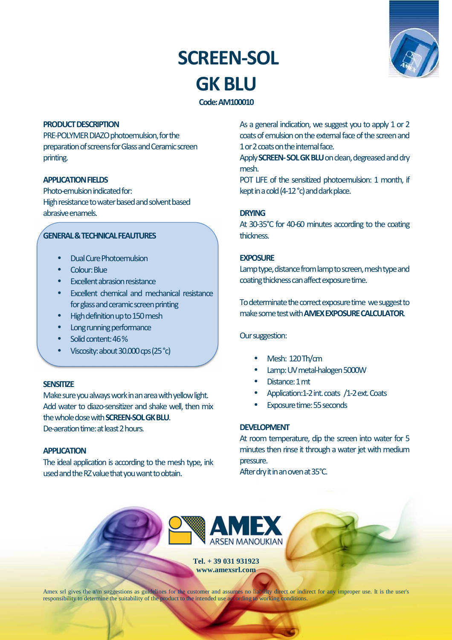# **SCREEN-SOL GK BLU**



# **Code: AM100010**

## **PRODUCT DESCRIPTION**

PRE-POLYMER DIAZO photoemulsion, for the preparation of screens for Glass and Ceramic screen printing.

# **APPLICATION FIELDS**

Photo-emulsion indicated for: High resistance to water based and solvent based abrasive enamels.

## **GENERAL & TECHNICAL FEAUTURES**

- Dual Cure Photoemulsion
- Colour: Blue
- Excellent abrasion resistance
- Excellent chemical and mechanical resistance for glass and ceramic screen printing
- High definition up to 150 mesh
- Long running performance
- Solid content: 46%
- Viscosity: about 30.000 cps (25 °c)

#### **SENSITIZE**

Make sure you always work in an area with yellow light. Add water to diazo-sensitizer and shake well, then mix the whole dose with **SCREEN-SOL GK BLU**.

De-aeration time: at least 2 hours.

## **APPLICATION**

The ideal application is according to the mesh type, ink used and the RZ value that you want to obtain.

As a general indication, we suggest you to apply 1 or 2 coats of emulsion on the external face of the screen and 1 or 2 coats on the internal face.

# Apply **SCREEN- SOL GK BLU** on clean, degreased and dry mesh.

POT LIFE of the sensitized photoemulsion: 1 month, if kept in a cold (4-12 °c) and dark place.

## **DRYING**

At 30-35°C for 40-60 minutes according to the coating thickness.

## **EXPOSURE**

Lamp type, distance from lamp to screen, mesh type and coating thickness can affect exposure time.

To determinate the correct exposure time we suggest to make some test with **AMEX EXPOSURE CALCULATOR**.

Our suggestion:

- Mesh: 120 Th/cm
- Lamp: UV metal-halogen 5000W
- Distance: 1 mt
- Application:1-2 int. coats /1-2 ext. Coats
- Exposure time: 55 seconds

### **DEVELOPMENT**

At room temperature, dip the screen into water for 5 minutes then rinse it through a water jet with medium pressure.

After dry it in an oven at 35°C.



**Tel. + 39 031 931923 www.amexsrl.com** 

Amex srl gives the a/m suggestions as guidelines for the customer and assumes no liability direct or indirect for any improper use. It is the user's responsibility to determine the suitability of the product to the intended use according to working conditions.